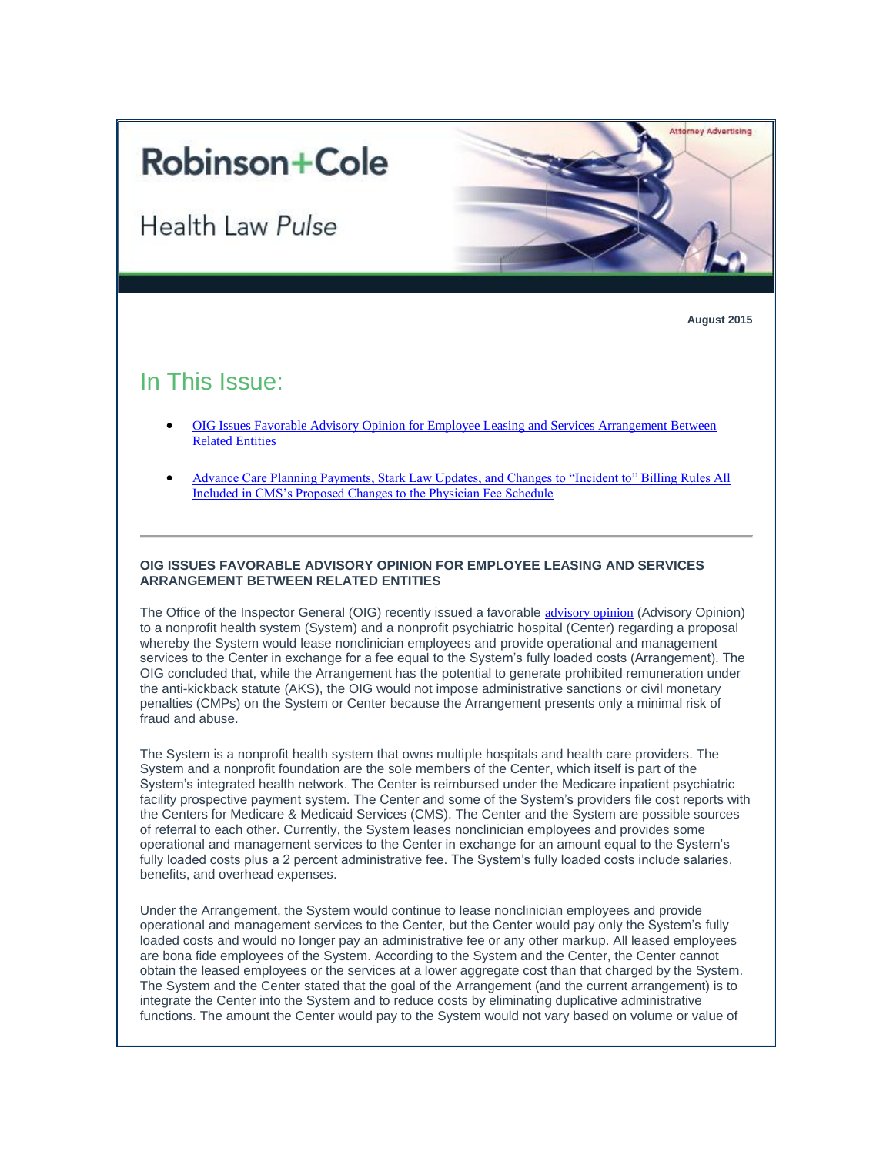# **Robinson+Cole**

**Health Law Pulse** 



**August 2015**

# In This Issue:

- [OIG Issues Favorable Advisory Opinion for Employee Leasing and Services Arrangement Between](#page-0-0)  [Related Entities](#page-0-0)
- <span id="page-0-0"></span> [Advance Care Planning Payments, Stark Law Updates, and Changes to "Incident to" Billing Rules All](#page-1-0)  [Included in CMS's Proposed Changes to the Physician Fee Schedule](#page-1-0)

# **OIG ISSUES FAVORABLE ADVISORY OPINION FOR EMPLOYEE LEASING AND SERVICES ARRANGEMENT BETWEEN RELATED ENTITIES**

The Office of the Inspector General (OIG) recently issued a favorable [advisory opinion](http://t2806904.omkt.co/track.aspx?id=402|2AD478|6F10|53E0|C0A|0|118A|1|3EFF8FCD&destination=https%3a%2f%2foig.hhs.gov%2ffraud%2fdocs%2fadvisoryopinions%2f2015%2fAdvOpn15-10.pdf&dchk=3625249B) (Advisory Opinion) to a nonprofit health system (System) and a nonprofit psychiatric hospital (Center) regarding a proposal whereby the System would lease nonclinician employees and provide operational and management services to the Center in exchange for a fee equal to the System's fully loaded costs (Arrangement). The OIG concluded that, while the Arrangement has the potential to generate prohibited remuneration under the anti-kickback statute (AKS), the OIG would not impose administrative sanctions or civil monetary penalties (CMPs) on the System or Center because the Arrangement presents only a minimal risk of fraud and abuse.

The System is a nonprofit health system that owns multiple hospitals and health care providers. The System and a nonprofit foundation are the sole members of the Center, which itself is part of the System's integrated health network. The Center is reimbursed under the Medicare inpatient psychiatric facility prospective payment system. The Center and some of the System's providers file cost reports with the Centers for Medicare & Medicaid Services (CMS). The Center and the System are possible sources of referral to each other. Currently, the System leases nonclinician employees and provides some operational and management services to the Center in exchange for an amount equal to the System's fully loaded costs plus a 2 percent administrative fee. The System's fully loaded costs include salaries, benefits, and overhead expenses.

Under the Arrangement, the System would continue to lease nonclinician employees and provide operational and management services to the Center, but the Center would pay only the System's fully loaded costs and would no longer pay an administrative fee or any other markup. All leased employees are bona fide employees of the System. According to the System and the Center, the Center cannot obtain the leased employees or the services at a lower aggregate cost than that charged by the System. The System and the Center stated that the goal of the Arrangement (and the current arrangement) is to integrate the Center into the System and to reduce costs by eliminating duplicative administrative functions. The amount the Center would pay to the System would not vary based on volume or value of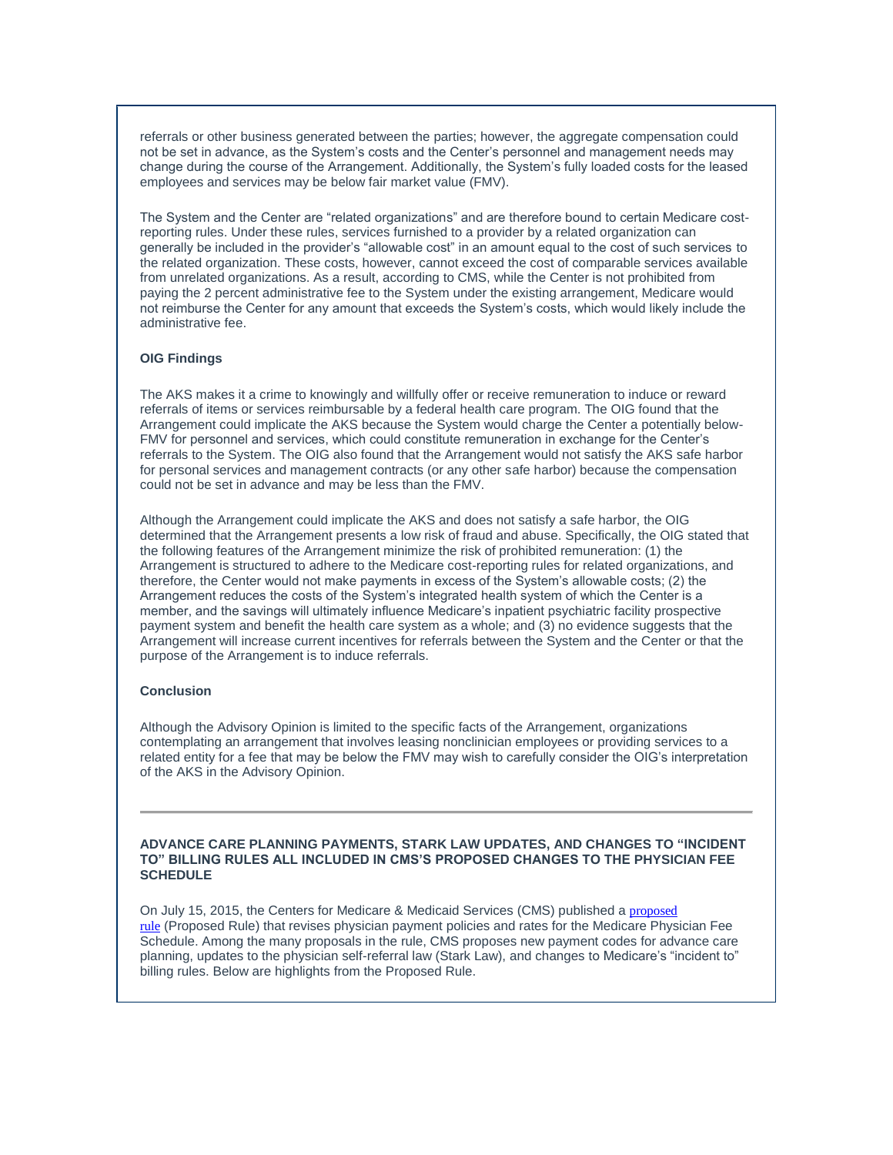referrals or other business generated between the parties; however, the aggregate compensation could not be set in advance, as the System's costs and the Center's personnel and management needs may change during the course of the Arrangement. Additionally, the System's fully loaded costs for the leased employees and services may be below fair market value (FMV).

The System and the Center are "related organizations" and are therefore bound to certain Medicare costreporting rules. Under these rules, services furnished to a provider by a related organization can generally be included in the provider's "allowable cost" in an amount equal to the cost of such services to the related organization. These costs, however, cannot exceed the cost of comparable services available from unrelated organizations. As a result, according to CMS, while the Center is not prohibited from paying the 2 percent administrative fee to the System under the existing arrangement, Medicare would not reimburse the Center for any amount that exceeds the System's costs, which would likely include the administrative fee.

## **OIG Findings**

The AKS makes it a crime to knowingly and willfully offer or receive remuneration to induce or reward referrals of items or services reimbursable by a federal health care program. The OIG found that the Arrangement could implicate the AKS because the System would charge the Center a potentially below-FMV for personnel and services, which could constitute remuneration in exchange for the Center's referrals to the System. The OIG also found that the Arrangement would not satisfy the AKS safe harbor for personal services and management contracts (or any other safe harbor) because the compensation could not be set in advance and may be less than the FMV.

Although the Arrangement could implicate the AKS and does not satisfy a safe harbor, the OIG determined that the Arrangement presents a low risk of fraud and abuse. Specifically, the OIG stated that the following features of the Arrangement minimize the risk of prohibited remuneration: (1) the Arrangement is structured to adhere to the Medicare cost-reporting rules for related organizations, and therefore, the Center would not make payments in excess of the System's allowable costs; (2) the Arrangement reduces the costs of the System's integrated health system of which the Center is a member, and the savings will ultimately influence Medicare's inpatient psychiatric facility prospective payment system and benefit the health care system as a whole; and (3) no evidence suggests that the Arrangement will increase current incentives for referrals between the System and the Center or that the purpose of the Arrangement is to induce referrals.

# **Conclusion**

Although the Advisory Opinion is limited to the specific facts of the Arrangement, organizations contemplating an arrangement that involves leasing nonclinician employees or providing services to a related entity for a fee that may be below the FMV may wish to carefully consider the OIG's interpretation of the AKS in the Advisory Opinion.

#### **ADVANCE CARE PLANNING PAYMENTS, STARK LAW UPDATES, AND CHANGES TO "INCIDENT TO" BILLING RULES ALL INCLUDED IN CMS'S PROPOSED CHANGES TO THE PHYSICIAN FEE SCHEDULE**

<span id="page-1-0"></span>On July 15, 2015, the Centers for Medicare & Medicaid Services (CMS) published a [proposed](http://t2806904.omkt.co/track.aspx?id=402|2AD478|6F10|53E0|C0A|0|118B|1|3EFF8FCD&destination=http%3a%2f%2fwww.gpo.gov%2ffdsys%2fpkg%2fFR-2015-07-15%2fpdf%2f2015-16875.pdf&dchk=3A2C2CC5)  [rule](http://t2806904.omkt.co/track.aspx?id=402|2AD478|6F10|53E0|C0A|0|118B|1|3EFF8FCD&destination=http%3a%2f%2fwww.gpo.gov%2ffdsys%2fpkg%2fFR-2015-07-15%2fpdf%2f2015-16875.pdf&dchk=3A2C2CC5) (Proposed Rule) that revises physician payment policies and rates for the Medicare Physician Fee Schedule. Among the many proposals in the rule, CMS proposes new payment codes for advance care planning, updates to the physician self-referral law (Stark Law), and changes to Medicare's "incident to" billing rules. Below are highlights from the Proposed Rule.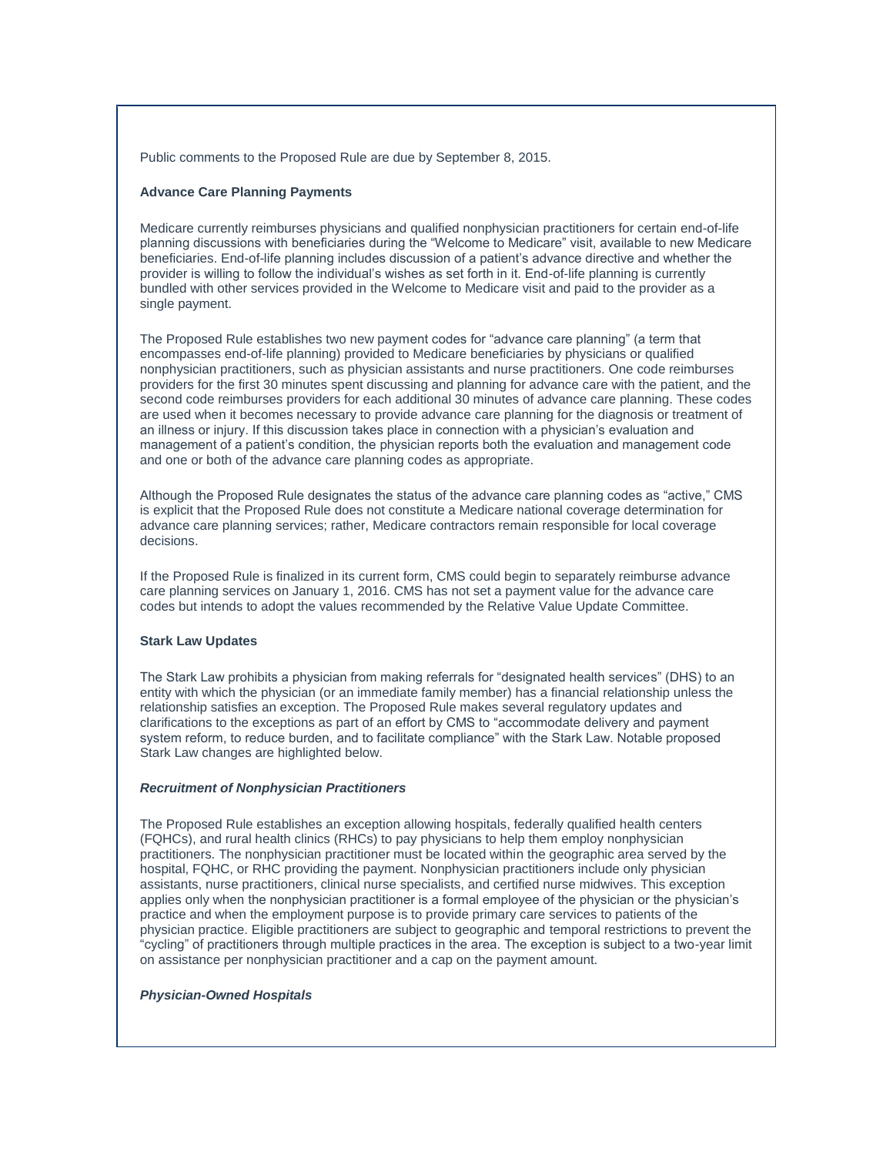Public comments to the Proposed Rule are due by September 8, 2015.

## **Advance Care Planning Payments**

Medicare currently reimburses physicians and qualified nonphysician practitioners for certain end-of-life planning discussions with beneficiaries during the "Welcome to Medicare" visit, available to new Medicare beneficiaries. End-of-life planning includes discussion of a patient's advance directive and whether the provider is willing to follow the individual's wishes as set forth in it. End-of-life planning is currently bundled with other services provided in the Welcome to Medicare visit and paid to the provider as a single payment.

The Proposed Rule establishes two new payment codes for "advance care planning" (a term that encompasses end-of-life planning) provided to Medicare beneficiaries by physicians or qualified nonphysician practitioners, such as physician assistants and nurse practitioners. One code reimburses providers for the first 30 minutes spent discussing and planning for advance care with the patient, and the second code reimburses providers for each additional 30 minutes of advance care planning. These codes are used when it becomes necessary to provide advance care planning for the diagnosis or treatment of an illness or injury. If this discussion takes place in connection with a physician's evaluation and management of a patient's condition, the physician reports both the evaluation and management code and one or both of the advance care planning codes as appropriate.

Although the Proposed Rule designates the status of the advance care planning codes as "active," CMS is explicit that the Proposed Rule does not constitute a Medicare national coverage determination for advance care planning services; rather, Medicare contractors remain responsible for local coverage decisions.

If the Proposed Rule is finalized in its current form, CMS could begin to separately reimburse advance care planning services on January 1, 2016. CMS has not set a payment value for the advance care codes but intends to adopt the values recommended by the Relative Value Update Committee.

## **Stark Law Updates**

The Stark Law prohibits a physician from making referrals for "designated health services" (DHS) to an entity with which the physician (or an immediate family member) has a financial relationship unless the relationship satisfies an exception. The Proposed Rule makes several regulatory updates and clarifications to the exceptions as part of an effort by CMS to "accommodate delivery and payment system reform, to reduce burden, and to facilitate compliance" with the Stark Law. Notable proposed Stark Law changes are highlighted below.

#### *Recruitment of Nonphysician Practitioners*

The Proposed Rule establishes an exception allowing hospitals, federally qualified health centers (FQHCs), and rural health clinics (RHCs) to pay physicians to help them employ nonphysician practitioners. The nonphysician practitioner must be located within the geographic area served by the hospital, FQHC, or RHC providing the payment. Nonphysician practitioners include only physician assistants, nurse practitioners, clinical nurse specialists, and certified nurse midwives. This exception applies only when the nonphysician practitioner is a formal employee of the physician or the physician's practice and when the employment purpose is to provide primary care services to patients of the physician practice. Eligible practitioners are subject to geographic and temporal restrictions to prevent the "cycling" of practitioners through multiple practices in the area. The exception is subject to a two-year limit on assistance per nonphysician practitioner and a cap on the payment amount.

#### *Physician-Owned Hospitals*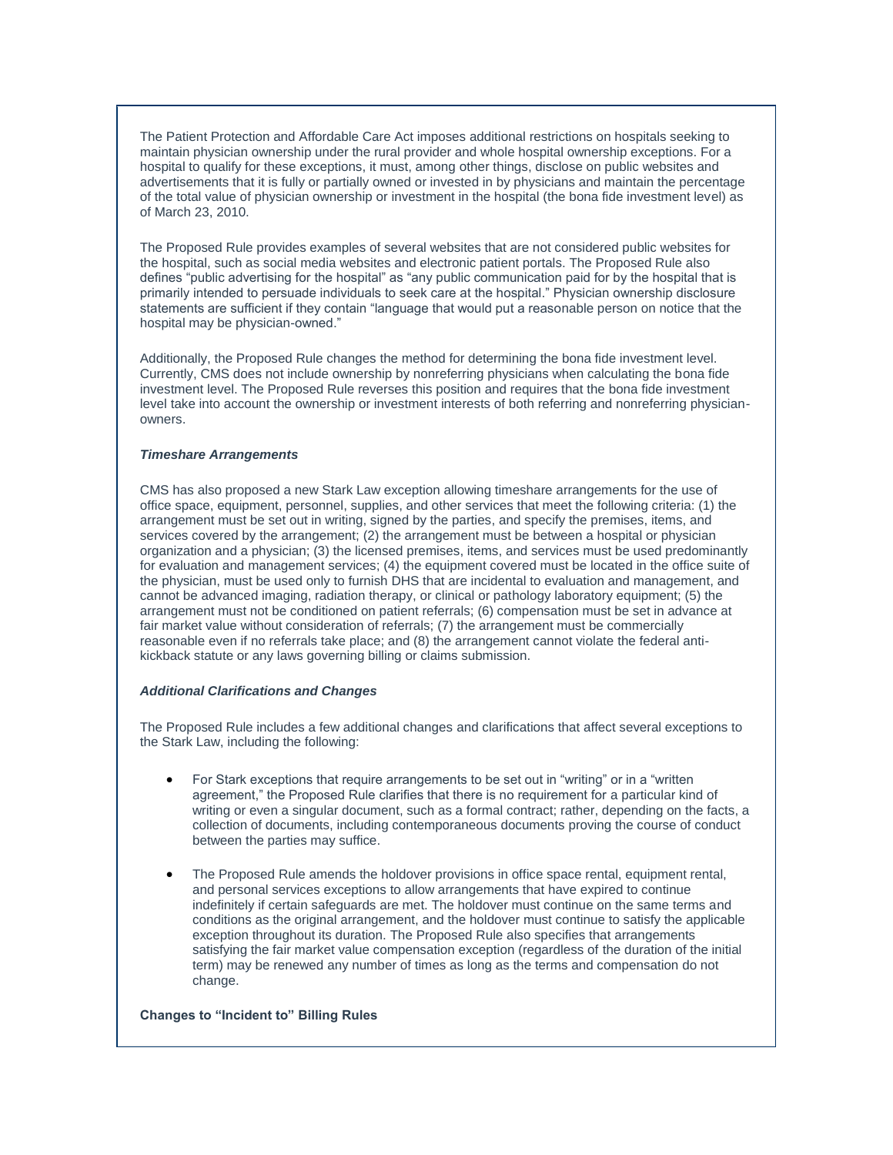The Patient Protection and Affordable Care Act imposes additional restrictions on hospitals seeking to maintain physician ownership under the rural provider and whole hospital ownership exceptions. For a hospital to qualify for these exceptions, it must, among other things, disclose on public websites and advertisements that it is fully or partially owned or invested in by physicians and maintain the percentage of the total value of physician ownership or investment in the hospital (the bona fide investment level) as of March 23, 2010.

The Proposed Rule provides examples of several websites that are not considered public websites for the hospital, such as social media websites and electronic patient portals. The Proposed Rule also defines "public advertising for the hospital" as "any public communication paid for by the hospital that is primarily intended to persuade individuals to seek care at the hospital." Physician ownership disclosure statements are sufficient if they contain "language that would put a reasonable person on notice that the hospital may be physician-owned."

Additionally, the Proposed Rule changes the method for determining the bona fide investment level. Currently, CMS does not include ownership by nonreferring physicians when calculating the bona fide investment level. The Proposed Rule reverses this position and requires that the bona fide investment level take into account the ownership or investment interests of both referring and nonreferring physicianowners.

# *Timeshare Arrangements*

CMS has also proposed a new Stark Law exception allowing timeshare arrangements for the use of office space, equipment, personnel, supplies, and other services that meet the following criteria: (1) the arrangement must be set out in writing, signed by the parties, and specify the premises, items, and services covered by the arrangement; (2) the arrangement must be between a hospital or physician organization and a physician; (3) the licensed premises, items, and services must be used predominantly for evaluation and management services; (4) the equipment covered must be located in the office suite of the physician, must be used only to furnish DHS that are incidental to evaluation and management, and cannot be advanced imaging, radiation therapy, or clinical or pathology laboratory equipment; (5) the arrangement must not be conditioned on patient referrals; (6) compensation must be set in advance at fair market value without consideration of referrals; (7) the arrangement must be commercially reasonable even if no referrals take place; and (8) the arrangement cannot violate the federal antikickback statute or any laws governing billing or claims submission.

#### *Additional Clarifications and Changes*

The Proposed Rule includes a few additional changes and clarifications that affect several exceptions to the Stark Law, including the following:

- For Stark exceptions that require arrangements to be set out in "writing" or in a "written agreement," the Proposed Rule clarifies that there is no requirement for a particular kind of writing or even a singular document, such as a formal contract; rather, depending on the facts, a collection of documents, including contemporaneous documents proving the course of conduct between the parties may suffice.
- The Proposed Rule amends the holdover provisions in office space rental, equipment rental, and personal services exceptions to allow arrangements that have expired to continue indefinitely if certain safeguards are met. The holdover must continue on the same terms and conditions as the original arrangement, and the holdover must continue to satisfy the applicable exception throughout its duration. The Proposed Rule also specifies that arrangements satisfying the fair market value compensation exception (regardless of the duration of the initial term) may be renewed any number of times as long as the terms and compensation do not change.

#### **Changes to "Incident to" Billing Rules**